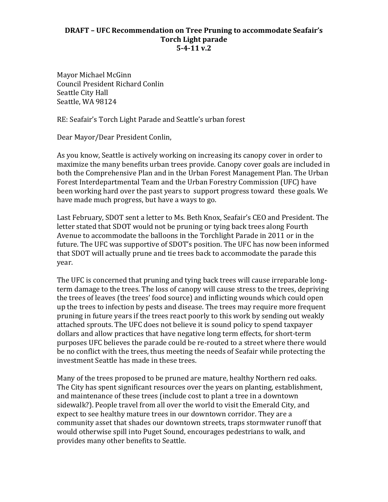## **DRAFT – UFC Recommendation on Tree Pruning to accommodate Seafair's Torch Light parade 5-4-11 v.2**

Mayor Michael McGinn Council President Richard Conlin Seattle City Hall Seattle, WA 98124

RE: Seafair's Torch Light Parade and Seattle's urban forest

Dear Mayor/Dear President Conlin,

As you know, Seattle is actively working on increasing its canopy cover in order to maximize the many benefits urban trees provide. Canopy cover goals are included in both the Comprehensive Plan and in the Urban Forest Management Plan. The Urban Forest Interdepartmental Team and the Urban Forestry Commission (UFC) have been working hard over the past years to support progress toward these goals. We have made much progress, but have a ways to go.

Last February, SDOT sent a letter to Ms. Beth Knox, Seafair's CEO and President. The letter stated that SDOT would not be pruning or tying back trees along Fourth Avenue to accommodate the balloons in the Torchlight Parade in 2011 or in the future. The UFC was supportive of SDOT's position. The UFC has now been informed that SDOT will actually prune and tie trees back to accommodate the parade this year.

The UFC is concerned that pruning and tying back trees will cause irreparable longterm damage to the trees. The loss of canopy will cause stress to the trees, depriving the trees of leaves (the trees' food source) and inflicting wounds which could open up the trees to infection by pests and disease. The trees may require more frequent pruning in future years if the trees react poorly to this work by sending out weakly attached sprouts. The UFC does not believe it is sound policy to spend taxpayer dollars and allow practices that have negative long term effects, for short-term purposes UFC believes the parade could be re-routed to a street where there would be no conflict with the trees, thus meeting the needs of Seafair while protecting the investment Seattle has made in these trees.

Many of the trees proposed to be pruned are mature, healthy Northern red oaks. The City has spent significant resources over the years on planting, establishment, and maintenance of these trees (include cost to plant a tree in a downtown sidewalk?). People travel from all over the world to visit the Emerald City, and expect to see healthy mature trees in our downtown corridor. They are a community asset that shades our downtown streets, traps stormwater runoff that would otherwise spill into Puget Sound, encourages pedestrians to walk, and provides many other benefits to Seattle.